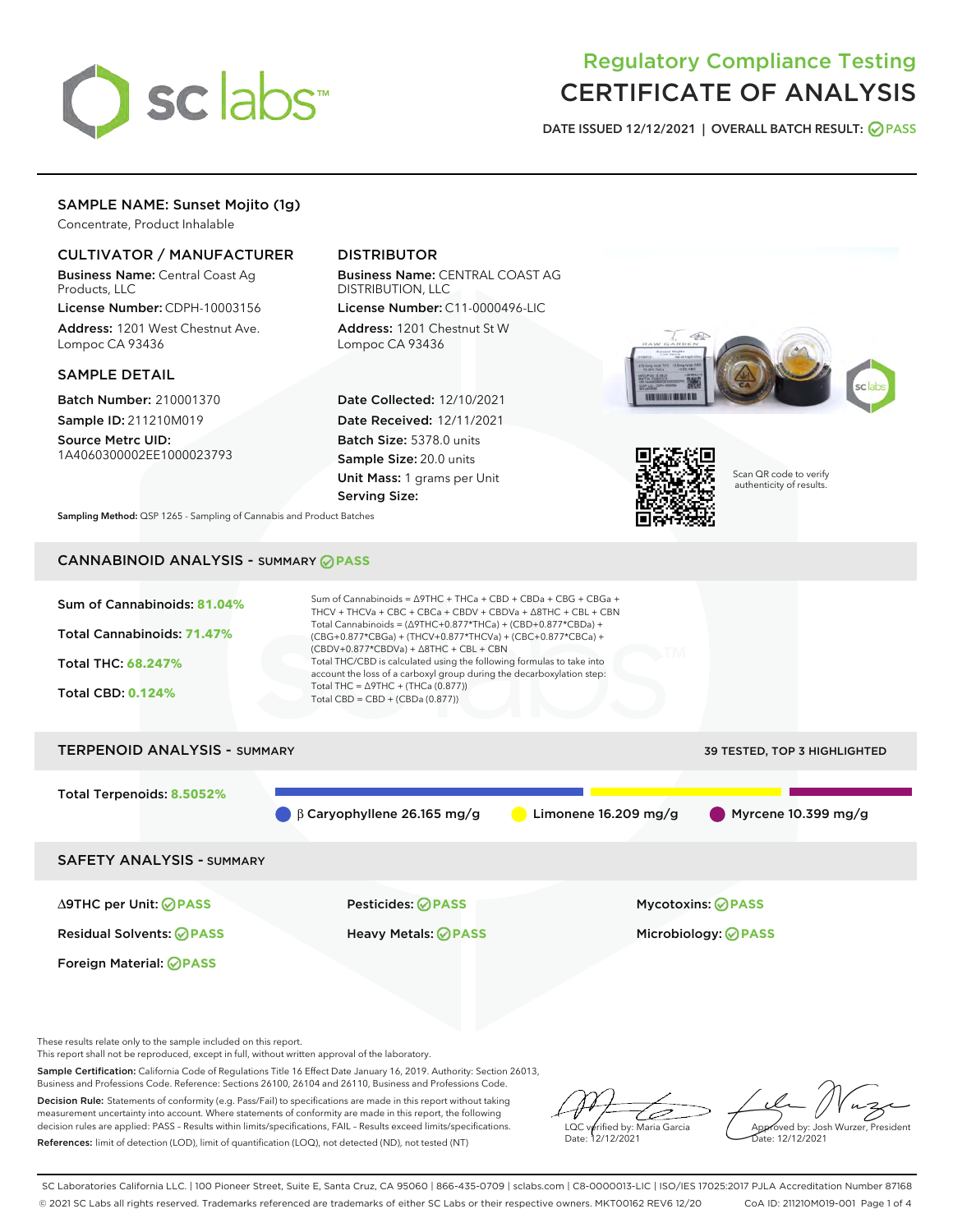

# Regulatory Compliance Testing CERTIFICATE OF ANALYSIS

DATE ISSUED 12/12/2021 | OVERALL BATCH RESULT: @ PASS

## SAMPLE NAME: Sunset Mojito (1g)

Concentrate, Product Inhalable

#### CULTIVATOR / MANUFACTURER

Business Name: Central Coast Ag Products, LLC

License Number: CDPH-10003156 Address: 1201 West Chestnut Ave. Lompoc CA 93436

#### SAMPLE DETAIL

Batch Number: 210001370 Sample ID: 211210M019

Source Metrc UID: 1A4060300002EE1000023793

### DISTRIBUTOR

Business Name: CENTRAL COAST AG DISTRIBUTION, LLC License Number: C11-0000496-LIC

Address: 1201 Chestnut St W Lompoc CA 93436

Date Collected: 12/10/2021 Date Received: 12/11/2021 Batch Size: 5378.0 units Sample Size: 20.0 units Unit Mass: 1 grams per Unit Serving Size:





Scan QR code to verify authenticity of results.

Sampling Method: QSP 1265 - Sampling of Cannabis and Product Batches

# CANNABINOID ANALYSIS - SUMMARY **PASS**



These results relate only to the sample included on this report.

This report shall not be reproduced, except in full, without written approval of the laboratory.

Sample Certification: California Code of Regulations Title 16 Effect Date January 16, 2019. Authority: Section 26013, Business and Professions Code. Reference: Sections 26100, 26104 and 26110, Business and Professions Code.

Decision Rule: Statements of conformity (e.g. Pass/Fail) to specifications are made in this report without taking measurement uncertainty into account. Where statements of conformity are made in this report, the following decision rules are applied: PASS – Results within limits/specifications, FAIL – Results exceed limits/specifications. References: limit of detection (LOD), limit of quantification (LOQ), not detected (ND), not tested (NT)

ىر LQC verified by: Maria Garcia Date: 12/12/2021

Approved by: Josh Wurzer, President ate: 12/12/2021

SC Laboratories California LLC. | 100 Pioneer Street, Suite E, Santa Cruz, CA 95060 | 866-435-0709 | sclabs.com | C8-0000013-LIC | ISO/IES 17025:2017 PJLA Accreditation Number 87168 © 2021 SC Labs all rights reserved. Trademarks referenced are trademarks of either SC Labs or their respective owners. MKT00162 REV6 12/20 CoA ID: 211210M019-001 Page 1 of 4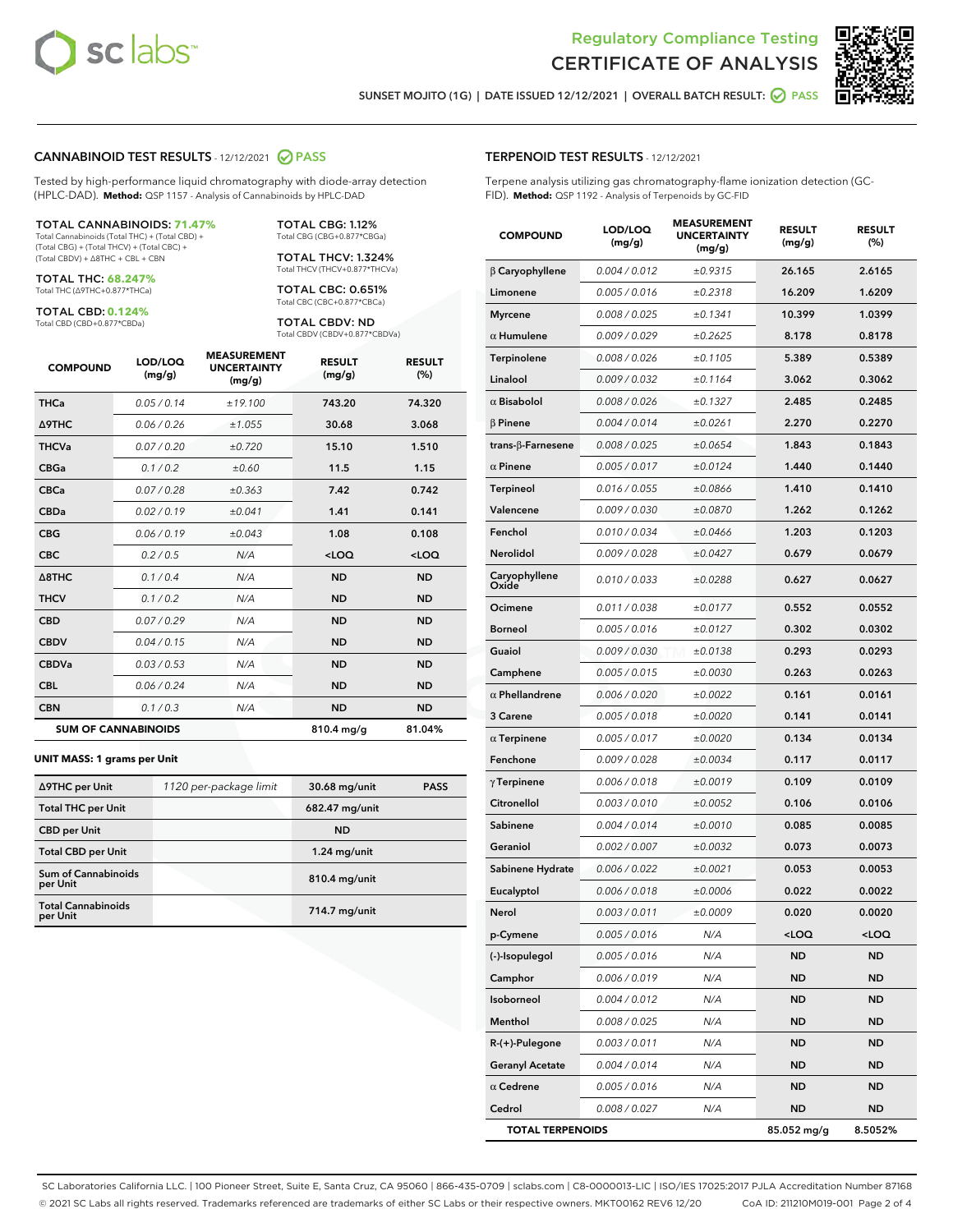



SUNSET MOJITO (1G) | DATE ISSUED 12/12/2021 | OVERALL BATCH RESULT: @ PASS

#### CANNABINOID TEST RESULTS - 12/12/2021 2 PASS

Tested by high-performance liquid chromatography with diode-array detection (HPLC-DAD). **Method:** QSP 1157 - Analysis of Cannabinoids by HPLC-DAD

#### TOTAL CANNABINOIDS: **71.47%**

Total Cannabinoids (Total THC) + (Total CBD) + (Total CBG) + (Total THCV) + (Total CBC) + (Total CBDV) + ∆8THC + CBL + CBN

TOTAL THC: **68.247%** Total THC (∆9THC+0.877\*THCa)

TOTAL CBD: **0.124%**

Total CBD (CBD+0.877\*CBDa)

TOTAL CBG: 1.12% Total CBG (CBG+0.877\*CBGa)

TOTAL THCV: 1.324% Total THCV (THCV+0.877\*THCVa)

TOTAL CBC: 0.651% Total CBC (CBC+0.877\*CBCa)

TOTAL CBDV: ND Total CBDV (CBDV+0.877\*CBDVa)

| <b>COMPOUND</b> | LOD/LOQ<br>(mg/g)          | <b>MEASUREMENT</b><br><b>UNCERTAINTY</b><br>(mg/g) | <b>RESULT</b><br>(mg/g) | <b>RESULT</b><br>$(\%)$ |
|-----------------|----------------------------|----------------------------------------------------|-------------------------|-------------------------|
| <b>THCa</b>     | 0.05/0.14                  | ±19.100                                            | 743.20                  | 74.320                  |
| <b>A9THC</b>    | 0.06 / 0.26                | ±1.055                                             | 30.68                   | 3.068                   |
| <b>THCVa</b>    | 0.07/0.20                  | ±0.720                                             | 15.10                   | 1.510                   |
| <b>CBGa</b>     | 0.1/0.2                    | ±0.60                                              | 11.5                    | 1.15                    |
| <b>CBCa</b>     | 0.07 / 0.28                | ±0.363                                             | 7.42                    | 0.742                   |
| <b>CBDa</b>     | 0.02/0.19                  | ±0.041                                             | 1.41                    | 0.141                   |
| <b>CBG</b>      | 0.06/0.19                  | ±0.043                                             | 1.08                    | 0.108                   |
| <b>CBC</b>      | 0.2 / 0.5                  | N/A                                                | $<$ LOQ                 | $<$ LOQ                 |
| A8THC           | 0.1/0.4                    | N/A                                                | <b>ND</b>               | <b>ND</b>               |
| <b>THCV</b>     | 0.1/0.2                    | N/A                                                | <b>ND</b>               | <b>ND</b>               |
| <b>CBD</b>      | 0.07/0.29                  | N/A                                                | <b>ND</b>               | <b>ND</b>               |
| <b>CBDV</b>     | 0.04 / 0.15                | N/A                                                | <b>ND</b>               | <b>ND</b>               |
| <b>CBDVa</b>    | 0.03/0.53                  | N/A                                                | <b>ND</b>               | <b>ND</b>               |
| <b>CBL</b>      | 0.06 / 0.24                | N/A                                                | <b>ND</b>               | <b>ND</b>               |
| <b>CBN</b>      | 0.1/0.3                    | N/A                                                | <b>ND</b>               | <b>ND</b>               |
|                 | <b>SUM OF CANNABINOIDS</b> |                                                    | $810.4$ mg/g            | 81.04%                  |

#### **UNIT MASS: 1 grams per Unit**

| ∆9THC per Unit                         | 1120 per-package limit | 30.68 mg/unit  | <b>PASS</b> |
|----------------------------------------|------------------------|----------------|-------------|
| <b>Total THC per Unit</b>              |                        | 682.47 mg/unit |             |
| <b>CBD</b> per Unit                    |                        | <b>ND</b>      |             |
| <b>Total CBD per Unit</b>              |                        | $1.24$ mg/unit |             |
| <b>Sum of Cannabinoids</b><br>per Unit |                        | 810.4 mg/unit  |             |
| <b>Total Cannabinoids</b><br>per Unit  |                        | 714.7 mg/unit  |             |

#### TERPENOID TEST RESULTS - 12/12/2021

Terpene analysis utilizing gas chromatography-flame ionization detection (GC-FID). **Method:** QSP 1192 - Analysis of Terpenoids by GC-FID

| <b>COMPOUND</b>           | LOD/LOQ<br>(mg/g) | <b>MEASUREMENT</b><br><b>UNCERTAINTY</b><br>(mg/g) | <b>RESULT</b><br>(mg/g)                         | <b>RESULT</b><br>(%) |
|---------------------------|-------------------|----------------------------------------------------|-------------------------------------------------|----------------------|
| $\beta$ Caryophyllene     | 0.004 / 0.012     | ±0.9315                                            | 26.165                                          | 2.6165               |
| Limonene                  | 0.005 / 0.016     | ±0.2318                                            | 16.209                                          | 1.6209               |
| <b>Myrcene</b>            | 0.008 / 0.025     | ±0.1341                                            | 10.399                                          | 1.0399               |
| $\alpha$ Humulene         | 0.009 / 0.029     | ±0.2625                                            | 8.178                                           | 0.8178               |
| Terpinolene               | 0.008 / 0.026     | ±0.1105                                            | 5.389                                           | 0.5389               |
| Linalool                  | 0.009 / 0.032     | ±0.1164                                            | 3.062                                           | 0.3062               |
| $\alpha$ Bisabolol        | 0.008 / 0.026     | ±0.1327                                            | 2.485                                           | 0.2485               |
| $\beta$ Pinene            | 0.004 / 0.014     | ±0.0261                                            | 2.270                                           | 0.2270               |
| trans- $\beta$ -Farnesene | 0.008 / 0.025     | ±0.0654                                            | 1.843                                           | 0.1843               |
| $\alpha$ Pinene           | 0.005 / 0.017     | ±0.0124                                            | 1.440                                           | 0.1440               |
| <b>Terpineol</b>          | 0.016 / 0.055     | ±0.0866                                            | 1.410                                           | 0.1410               |
| Valencene                 | 0.009 / 0.030     | ±0.0870                                            | 1.262                                           | 0.1262               |
| Fenchol                   | 0.010 / 0.034     | ±0.0466                                            | 1.203                                           | 0.1203               |
| <b>Nerolidol</b>          | 0.009 / 0.028     | ±0.0427                                            | 0.679                                           | 0.0679               |
| Caryophyllene<br>Oxide    | 0.010 / 0.033     | ±0.0288                                            | 0.627                                           | 0.0627               |
| Ocimene                   | 0.011 / 0.038     | ±0.0177                                            | 0.552                                           | 0.0552               |
| <b>Borneol</b>            | 0.005 / 0.016     | ±0.0127                                            | 0.302                                           | 0.0302               |
| Guaiol                    | 0.009 / 0.030     | ±0.0138                                            | 0.293                                           | 0.0293               |
| Camphene                  | 0.005 / 0.015     | ±0.0030                                            | 0.263                                           | 0.0263               |
| $\alpha$ Phellandrene     | 0.006 / 0.020     | ±0.0022                                            | 0.161                                           | 0.0161               |
| 3 Carene                  | 0.005 / 0.018     | ±0.0020                                            | 0.141                                           | 0.0141               |
| $\alpha$ Terpinene        | 0.005 / 0.017     | ±0.0020                                            | 0.134                                           | 0.0134               |
| Fenchone                  | 0.009 / 0.028     | ±0.0034                                            | 0.117                                           | 0.0117               |
| $\gamma$ Terpinene        | 0.006 / 0.018     | ±0.0019                                            | 0.109                                           | 0.0109               |
| Citronellol               | 0.003 / 0.010     | ±0.0052                                            | 0.106                                           | 0.0106               |
| Sabinene                  | 0.004 / 0.014     | ±0.0010                                            | 0.085                                           | 0.0085               |
| Geraniol                  | 0.002 / 0.007     | ±0.0032                                            | 0.073                                           | 0.0073               |
| Sabinene Hydrate          | 0.006 / 0.022     | ±0.0021                                            | 0.053                                           | 0.0053               |
| Eucalyptol                | 0.006 / 0.018     | ±0.0006                                            | 0.022                                           | 0.0022               |
| Nerol                     | 0.003 / 0.011     | ±0.0009                                            | 0.020                                           | 0.0020               |
| p-Cymene                  | 0.005 / 0.016     | N/A                                                | <loq< th=""><th><loq< th=""></loq<></th></loq<> | <loq< th=""></loq<>  |
| (-)-Isopulegol            | 0.005 / 0.016     | N/A                                                | ND                                              | ND                   |
| Camphor                   | 0.006 / 0.019     | N/A                                                | <b>ND</b>                                       | <b>ND</b>            |
| Isoborneol                | 0.004 / 0.012     | N/A                                                | ND                                              | ND                   |
| Menthol                   | 0.008 / 0.025     | N/A                                                | ND                                              | ND                   |
| R-(+)-Pulegone            | 0.003 / 0.011     | N/A                                                | ND                                              | ND                   |
| <b>Geranyl Acetate</b>    | 0.004 / 0.014     | N/A                                                | <b>ND</b>                                       | ND                   |
| $\alpha$ Cedrene          | 0.005 / 0.016     | N/A                                                | ND                                              | ND                   |
| Cedrol                    | 0.008 / 0.027     | N/A                                                | <b>ND</b>                                       | ND                   |
| <b>TOTAL TERPENOIDS</b>   |                   |                                                    | 85.052 mg/g                                     | 8.5052%              |

SC Laboratories California LLC. | 100 Pioneer Street, Suite E, Santa Cruz, CA 95060 | 866-435-0709 | sclabs.com | C8-0000013-LIC | ISO/IES 17025:2017 PJLA Accreditation Number 87168 © 2021 SC Labs all rights reserved. Trademarks referenced are trademarks of either SC Labs or their respective owners. MKT00162 REV6 12/20 CoA ID: 211210M019-001 Page 2 of 4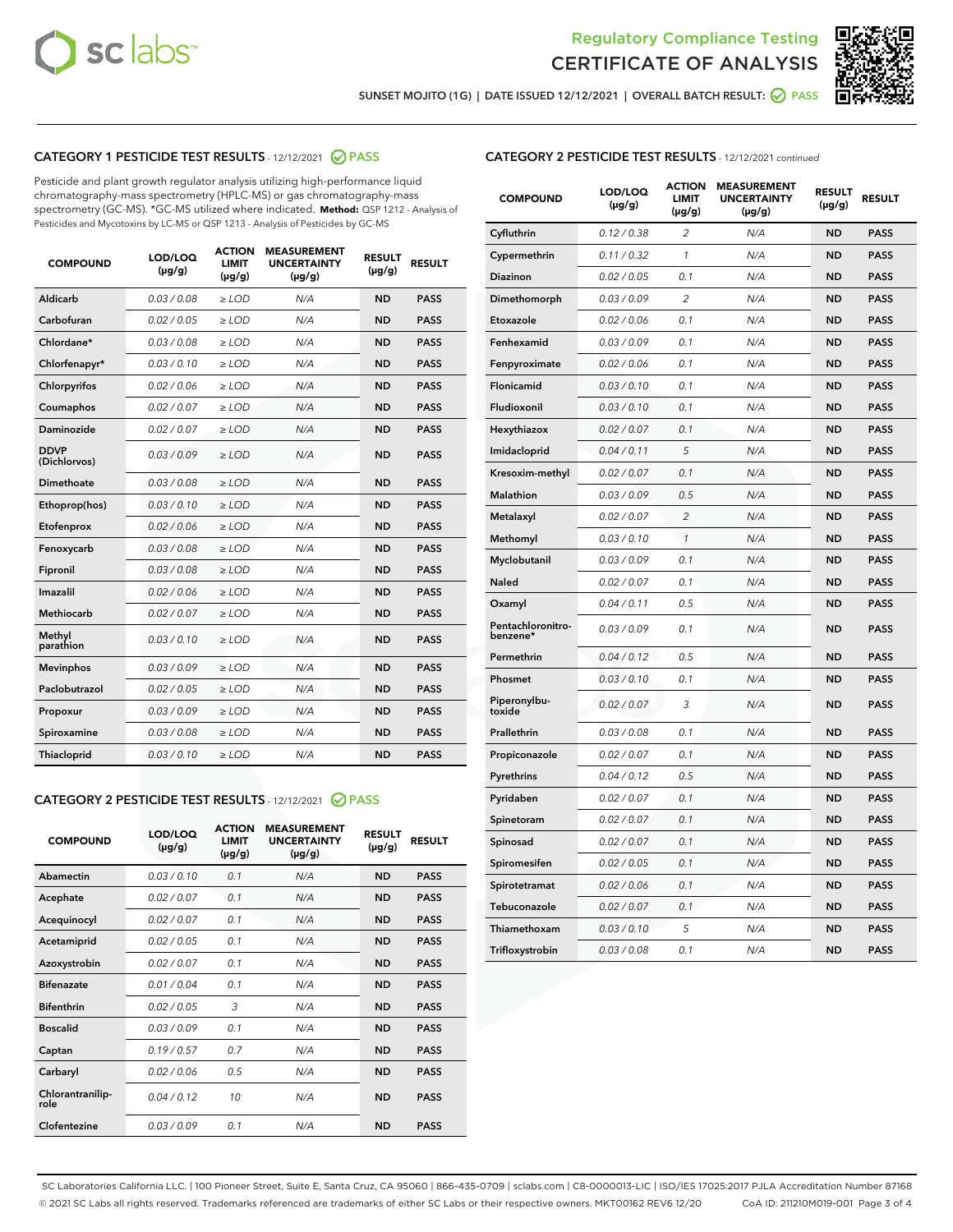



SUNSET MOJITO (1G) | DATE ISSUED 12/12/2021 | OVERALL BATCH RESULT:  $\bigcirc$  PASS

#### CATEGORY 1 PESTICIDE TEST RESULTS - 12/12/2021 @ PASS

Pesticide and plant growth regulator analysis utilizing high-performance liquid chromatography-mass spectrometry (HPLC-MS) or gas chromatography-mass spectrometry (GC-MS). \*GC-MS utilized where indicated. **Method:** QSP 1212 - Analysis of Pesticides and Mycotoxins by LC-MS or QSP 1213 - Analysis of Pesticides by GC-MS

| 0.03/0.08<br>Aldicarb<br>$>$ LOD<br>N/A<br><b>ND</b><br><b>PASS</b><br>Carbofuran<br>0.02 / 0.05<br>$\ge$ LOD<br>N/A<br><b>ND</b><br><b>PASS</b><br>Chlordane*<br>0.03/0.08<br>$>$ LOD<br>N/A<br><b>ND</b><br><b>PASS</b><br>Chlorfenapyr*<br>0.03/0.10<br><b>PASS</b><br>$\geq$ LOD<br>N/A<br><b>ND</b><br>Chlorpyrifos<br>0.02 / 0.06<br>N/A<br><b>ND</b><br><b>PASS</b><br>$\ge$ LOD<br>0.02 / 0.07<br>N/A<br><b>ND</b><br><b>PASS</b><br>Coumaphos<br>$\ge$ LOD<br>Daminozide<br>0.02 / 0.07<br>$\ge$ LOD<br>N/A<br><b>ND</b><br><b>PASS</b><br><b>DDVP</b><br>0.03/0.09<br>$\ge$ LOD<br>N/A<br><b>ND</b><br><b>PASS</b><br>(Dichlorvos)<br><b>Dimethoate</b><br>0.03 / 0.08<br>N/A<br><b>ND</b><br><b>PASS</b><br>$\ge$ LOD<br>0.03/0.10<br>N/A<br><b>ND</b><br><b>PASS</b><br>Ethoprop(hos)<br>$\ge$ LOD<br>0.02 / 0.06<br>N/A<br><b>ND</b><br><b>PASS</b><br>Etofenprox<br>$\ge$ LOD<br>0.03 / 0.08<br>N/A<br><b>ND</b><br><b>PASS</b><br>Fenoxycarb<br>$\ge$ LOD<br>0.03/0.08<br>$>$ LOD<br>N/A<br><b>ND</b><br>Fipronil<br><b>PASS</b><br>0.02 / 0.06<br>Imazalil<br>$\ge$ LOD<br>N/A<br><b>ND</b><br><b>PASS</b><br><b>Methiocarb</b><br>0.02 / 0.07<br>$\ge$ LOD<br>N/A<br><b>ND</b><br><b>PASS</b><br>Methyl<br>0.03/0.10<br>N/A<br><b>ND</b><br><b>PASS</b><br>$\ge$ LOD<br>parathion<br>0.03/0.09<br>$\ge$ LOD<br><b>ND</b><br><b>PASS</b><br><b>Mevinphos</b><br>N/A<br>Paclobutrazol<br>0.02 / 0.05<br>$>$ LOD<br>N/A<br><b>ND</b><br><b>PASS</b><br>0.03/0.09<br>N/A<br>$\ge$ LOD<br><b>ND</b><br><b>PASS</b><br>Propoxur<br>0.03 / 0.08<br><b>ND</b><br><b>PASS</b><br>Spiroxamine<br>$\ge$ LOD<br>N/A<br>Thiacloprid<br>0.03/0.10<br>$\ge$ LOD<br>N/A<br><b>ND</b><br><b>PASS</b> | <b>COMPOUND</b> | LOD/LOQ<br>$(\mu g/g)$ | <b>ACTION</b><br><b>LIMIT</b><br>$(\mu g/g)$ | <b>MEASUREMENT</b><br><b>UNCERTAINTY</b><br>$(\mu g/g)$ | <b>RESULT</b><br>$(\mu g/g)$ | <b>RESULT</b> |
|------------------------------------------------------------------------------------------------------------------------------------------------------------------------------------------------------------------------------------------------------------------------------------------------------------------------------------------------------------------------------------------------------------------------------------------------------------------------------------------------------------------------------------------------------------------------------------------------------------------------------------------------------------------------------------------------------------------------------------------------------------------------------------------------------------------------------------------------------------------------------------------------------------------------------------------------------------------------------------------------------------------------------------------------------------------------------------------------------------------------------------------------------------------------------------------------------------------------------------------------------------------------------------------------------------------------------------------------------------------------------------------------------------------------------------------------------------------------------------------------------------------------------------------------------------------------------------------------------------------------------------------------------------------------------------------------------|-----------------|------------------------|----------------------------------------------|---------------------------------------------------------|------------------------------|---------------|
|                                                                                                                                                                                                                                                                                                                                                                                                                                                                                                                                                                                                                                                                                                                                                                                                                                                                                                                                                                                                                                                                                                                                                                                                                                                                                                                                                                                                                                                                                                                                                                                                                                                                                                      |                 |                        |                                              |                                                         |                              |               |
|                                                                                                                                                                                                                                                                                                                                                                                                                                                                                                                                                                                                                                                                                                                                                                                                                                                                                                                                                                                                                                                                                                                                                                                                                                                                                                                                                                                                                                                                                                                                                                                                                                                                                                      |                 |                        |                                              |                                                         |                              |               |
|                                                                                                                                                                                                                                                                                                                                                                                                                                                                                                                                                                                                                                                                                                                                                                                                                                                                                                                                                                                                                                                                                                                                                                                                                                                                                                                                                                                                                                                                                                                                                                                                                                                                                                      |                 |                        |                                              |                                                         |                              |               |
|                                                                                                                                                                                                                                                                                                                                                                                                                                                                                                                                                                                                                                                                                                                                                                                                                                                                                                                                                                                                                                                                                                                                                                                                                                                                                                                                                                                                                                                                                                                                                                                                                                                                                                      |                 |                        |                                              |                                                         |                              |               |
|                                                                                                                                                                                                                                                                                                                                                                                                                                                                                                                                                                                                                                                                                                                                                                                                                                                                                                                                                                                                                                                                                                                                                                                                                                                                                                                                                                                                                                                                                                                                                                                                                                                                                                      |                 |                        |                                              |                                                         |                              |               |
|                                                                                                                                                                                                                                                                                                                                                                                                                                                                                                                                                                                                                                                                                                                                                                                                                                                                                                                                                                                                                                                                                                                                                                                                                                                                                                                                                                                                                                                                                                                                                                                                                                                                                                      |                 |                        |                                              |                                                         |                              |               |
|                                                                                                                                                                                                                                                                                                                                                                                                                                                                                                                                                                                                                                                                                                                                                                                                                                                                                                                                                                                                                                                                                                                                                                                                                                                                                                                                                                                                                                                                                                                                                                                                                                                                                                      |                 |                        |                                              |                                                         |                              |               |
|                                                                                                                                                                                                                                                                                                                                                                                                                                                                                                                                                                                                                                                                                                                                                                                                                                                                                                                                                                                                                                                                                                                                                                                                                                                                                                                                                                                                                                                                                                                                                                                                                                                                                                      |                 |                        |                                              |                                                         |                              |               |
|                                                                                                                                                                                                                                                                                                                                                                                                                                                                                                                                                                                                                                                                                                                                                                                                                                                                                                                                                                                                                                                                                                                                                                                                                                                                                                                                                                                                                                                                                                                                                                                                                                                                                                      |                 |                        |                                              |                                                         |                              |               |
|                                                                                                                                                                                                                                                                                                                                                                                                                                                                                                                                                                                                                                                                                                                                                                                                                                                                                                                                                                                                                                                                                                                                                                                                                                                                                                                                                                                                                                                                                                                                                                                                                                                                                                      |                 |                        |                                              |                                                         |                              |               |
|                                                                                                                                                                                                                                                                                                                                                                                                                                                                                                                                                                                                                                                                                                                                                                                                                                                                                                                                                                                                                                                                                                                                                                                                                                                                                                                                                                                                                                                                                                                                                                                                                                                                                                      |                 |                        |                                              |                                                         |                              |               |
|                                                                                                                                                                                                                                                                                                                                                                                                                                                                                                                                                                                                                                                                                                                                                                                                                                                                                                                                                                                                                                                                                                                                                                                                                                                                                                                                                                                                                                                                                                                                                                                                                                                                                                      |                 |                        |                                              |                                                         |                              |               |
|                                                                                                                                                                                                                                                                                                                                                                                                                                                                                                                                                                                                                                                                                                                                                                                                                                                                                                                                                                                                                                                                                                                                                                                                                                                                                                                                                                                                                                                                                                                                                                                                                                                                                                      |                 |                        |                                              |                                                         |                              |               |
|                                                                                                                                                                                                                                                                                                                                                                                                                                                                                                                                                                                                                                                                                                                                                                                                                                                                                                                                                                                                                                                                                                                                                                                                                                                                                                                                                                                                                                                                                                                                                                                                                                                                                                      |                 |                        |                                              |                                                         |                              |               |
|                                                                                                                                                                                                                                                                                                                                                                                                                                                                                                                                                                                                                                                                                                                                                                                                                                                                                                                                                                                                                                                                                                                                                                                                                                                                                                                                                                                                                                                                                                                                                                                                                                                                                                      |                 |                        |                                              |                                                         |                              |               |
|                                                                                                                                                                                                                                                                                                                                                                                                                                                                                                                                                                                                                                                                                                                                                                                                                                                                                                                                                                                                                                                                                                                                                                                                                                                                                                                                                                                                                                                                                                                                                                                                                                                                                                      |                 |                        |                                              |                                                         |                              |               |
|                                                                                                                                                                                                                                                                                                                                                                                                                                                                                                                                                                                                                                                                                                                                                                                                                                                                                                                                                                                                                                                                                                                                                                                                                                                                                                                                                                                                                                                                                                                                                                                                                                                                                                      |                 |                        |                                              |                                                         |                              |               |
|                                                                                                                                                                                                                                                                                                                                                                                                                                                                                                                                                                                                                                                                                                                                                                                                                                                                                                                                                                                                                                                                                                                                                                                                                                                                                                                                                                                                                                                                                                                                                                                                                                                                                                      |                 |                        |                                              |                                                         |                              |               |
|                                                                                                                                                                                                                                                                                                                                                                                                                                                                                                                                                                                                                                                                                                                                                                                                                                                                                                                                                                                                                                                                                                                                                                                                                                                                                                                                                                                                                                                                                                                                                                                                                                                                                                      |                 |                        |                                              |                                                         |                              |               |
|                                                                                                                                                                                                                                                                                                                                                                                                                                                                                                                                                                                                                                                                                                                                                                                                                                                                                                                                                                                                                                                                                                                                                                                                                                                                                                                                                                                                                                                                                                                                                                                                                                                                                                      |                 |                        |                                              |                                                         |                              |               |
|                                                                                                                                                                                                                                                                                                                                                                                                                                                                                                                                                                                                                                                                                                                                                                                                                                                                                                                                                                                                                                                                                                                                                                                                                                                                                                                                                                                                                                                                                                                                                                                                                                                                                                      |                 |                        |                                              |                                                         |                              |               |

#### CATEGORY 2 PESTICIDE TEST RESULTS - 12/12/2021 @ PASS

| <b>COMPOUND</b>          | LOD/LOQ<br>$(\mu g/g)$ | <b>ACTION</b><br><b>LIMIT</b><br>$(\mu g/g)$ | <b>MEASUREMENT</b><br><b>UNCERTAINTY</b><br>$(\mu g/g)$ | <b>RESULT</b><br>$(\mu g/g)$ | <b>RESULT</b> |
|--------------------------|------------------------|----------------------------------------------|---------------------------------------------------------|------------------------------|---------------|
| Abamectin                | 0.03/0.10              | 0.1                                          | N/A                                                     | <b>ND</b>                    | <b>PASS</b>   |
| Acephate                 | 0.02/0.07              | 0.1                                          | N/A                                                     | <b>ND</b>                    | <b>PASS</b>   |
| Acequinocyl              | 0.02/0.07              | 0.1                                          | N/A                                                     | <b>ND</b>                    | <b>PASS</b>   |
| Acetamiprid              | 0.02/0.05              | 0.1                                          | N/A                                                     | <b>ND</b>                    | <b>PASS</b>   |
| Azoxystrobin             | 0 02 / 0 07            | 0.1                                          | N/A                                                     | <b>ND</b>                    | <b>PASS</b>   |
| <b>Bifenazate</b>        | 0.01/0.04              | 0.1                                          | N/A                                                     | <b>ND</b>                    | <b>PASS</b>   |
| <b>Bifenthrin</b>        | 0.02/0.05              | 3                                            | N/A                                                     | <b>ND</b>                    | <b>PASS</b>   |
| <b>Boscalid</b>          | 0.03/0.09              | 0.1                                          | N/A                                                     | <b>ND</b>                    | <b>PASS</b>   |
| Captan                   | 0.19/0.57              | 0.7                                          | N/A                                                     | <b>ND</b>                    | <b>PASS</b>   |
| Carbaryl                 | 0.02/0.06              | 0.5                                          | N/A                                                     | <b>ND</b>                    | <b>PASS</b>   |
| Chlorantranilip-<br>role | 0.04/0.12              | 10                                           | N/A                                                     | <b>ND</b>                    | <b>PASS</b>   |
| Clofentezine             | 0.03/0.09              | 0.1                                          | N/A                                                     | <b>ND</b>                    | <b>PASS</b>   |

#### CATEGORY 2 PESTICIDE TEST RESULTS - 12/12/2021 continued

| <b>COMPOUND</b>               | LOD/LOQ<br>(µg/g) | <b>ACTION</b><br><b>LIMIT</b><br>$(\mu g/g)$ | <b>MEASUREMENT</b><br><b>UNCERTAINTY</b><br>$(\mu g/g)$ | <b>RESULT</b><br>$(\mu g/g)$ | <b>RESULT</b> |
|-------------------------------|-------------------|----------------------------------------------|---------------------------------------------------------|------------------------------|---------------|
| Cyfluthrin                    | 0.12 / 0.38       | $\overline{2}$                               | N/A                                                     | <b>ND</b>                    | <b>PASS</b>   |
| Cypermethrin                  | 0.11 / 0.32       | 1                                            | N/A                                                     | <b>ND</b>                    | <b>PASS</b>   |
| Diazinon                      | 0.02 / 0.05       | 0.1                                          | N/A                                                     | <b>ND</b>                    | <b>PASS</b>   |
| Dimethomorph                  | 0.03 / 0.09       | $\overline{2}$                               | N/A                                                     | <b>ND</b>                    | <b>PASS</b>   |
| Etoxazole                     | 0.02 / 0.06       | 0.1                                          | N/A                                                     | <b>ND</b>                    | <b>PASS</b>   |
| Fenhexamid                    | 0.03 / 0.09       | 0.1                                          | N/A                                                     | <b>ND</b>                    | <b>PASS</b>   |
| Fenpyroximate                 | 0.02 / 0.06       | 0.1                                          | N/A                                                     | <b>ND</b>                    | <b>PASS</b>   |
| Flonicamid                    | 0.03 / 0.10       | 0.1                                          | N/A                                                     | <b>ND</b>                    | <b>PASS</b>   |
| Fludioxonil                   | 0.03 / 0.10       | 0.1                                          | N/A                                                     | <b>ND</b>                    | <b>PASS</b>   |
| Hexythiazox                   | 0.02 / 0.07       | 0.1                                          | N/A                                                     | <b>ND</b>                    | <b>PASS</b>   |
| Imidacloprid                  | 0.04 / 0.11       | 5                                            | N/A                                                     | <b>ND</b>                    | <b>PASS</b>   |
| Kresoxim-methyl               | 0.02 / 0.07       | 0.1                                          | N/A                                                     | <b>ND</b>                    | <b>PASS</b>   |
| <b>Malathion</b>              | 0.03 / 0.09       | 0.5                                          | N/A                                                     | <b>ND</b>                    | <b>PASS</b>   |
| Metalaxyl                     | 0.02 / 0.07       | $\overline{c}$                               | N/A                                                     | <b>ND</b>                    | <b>PASS</b>   |
| Methomyl                      | 0.03 / 0.10       | $\mathbf{1}$                                 | N/A                                                     | <b>ND</b>                    | <b>PASS</b>   |
| Myclobutanil                  | 0.03 / 0.09       | 0.1                                          | N/A                                                     | <b>ND</b>                    | <b>PASS</b>   |
| Naled                         | 0.02 / 0.07       | 0.1                                          | N/A                                                     | <b>ND</b>                    | <b>PASS</b>   |
| Oxamyl                        | 0.04 / 0.11       | 0.5                                          | N/A                                                     | <b>ND</b>                    | <b>PASS</b>   |
| Pentachloronitro-<br>benzene* | 0.03 / 0.09       | 0.1                                          | N/A                                                     | <b>ND</b>                    | <b>PASS</b>   |
| Permethrin                    | 0.04 / 0.12       | 0.5                                          | N/A                                                     | <b>ND</b>                    | <b>PASS</b>   |
| Phosmet                       | 0.03 / 0.10       | 0.1                                          | N/A                                                     | <b>ND</b>                    | <b>PASS</b>   |
| Piperonylbu-<br>toxide        | 0.02 / 0.07       | 3                                            | N/A                                                     | <b>ND</b>                    | <b>PASS</b>   |
| Prallethrin                   | 0.03 / 0.08       | 0.1                                          | N/A                                                     | <b>ND</b>                    | <b>PASS</b>   |
| Propiconazole                 | 0.02 / 0.07       | 0.1                                          | N/A                                                     | <b>ND</b>                    | <b>PASS</b>   |
| Pyrethrins                    | 0.04 / 0.12       | 0.5                                          | N/A                                                     | <b>ND</b>                    | <b>PASS</b>   |
| Pyridaben                     | 0.02 / 0.07       | 0.1                                          | N/A                                                     | <b>ND</b>                    | <b>PASS</b>   |
| Spinetoram                    | 0.02 / 0.07       | 0.1                                          | N/A                                                     | <b>ND</b>                    | <b>PASS</b>   |
| Spinosad                      | 0.02 / 0.07       | 0.1                                          | N/A                                                     | ND                           | <b>PASS</b>   |
| Spiromesifen                  | 0.02 / 0.05       | 0.1                                          | N/A                                                     | <b>ND</b>                    | <b>PASS</b>   |
| Spirotetramat                 | 0.02 / 0.06       | 0.1                                          | N/A                                                     | <b>ND</b>                    | <b>PASS</b>   |
| Tebuconazole                  | 0.02 / 0.07       | 0.1                                          | N/A                                                     | ND                           | <b>PASS</b>   |
| Thiamethoxam                  | 0.03 / 0.10       | 5                                            | N/A                                                     | <b>ND</b>                    | <b>PASS</b>   |
| Trifloxystrobin               | 0.03 / 0.08       | 0.1                                          | N/A                                                     | <b>ND</b>                    | <b>PASS</b>   |

SC Laboratories California LLC. | 100 Pioneer Street, Suite E, Santa Cruz, CA 95060 | 866-435-0709 | sclabs.com | C8-0000013-LIC | ISO/IES 17025:2017 PJLA Accreditation Number 87168 © 2021 SC Labs all rights reserved. Trademarks referenced are trademarks of either SC Labs or their respective owners. MKT00162 REV6 12/20 CoA ID: 211210M019-001 Page 3 of 4